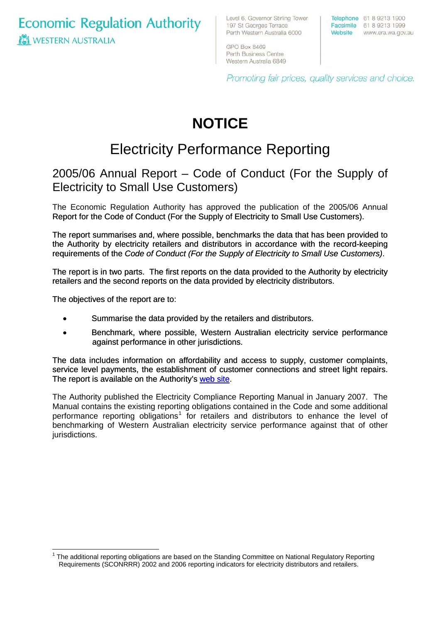**Economic Regulation Authority WESTERN AUSTRALIA** 

Level 6, Governor Stirling Tower 197 St Georges Terrace Perth Western Australia 6000

Telephone 61 8 9213 1900 Facsimile 61 8 9213 1999 Website www.era.wa.gov.au

GPO Box 8469 Perth Business Centre Western Australia 6849

Promoting fair prices, quality services and choice.

# **NOTICE**

## Electricity Performance Reporting

### 2005/06 Annual Report – Code of Conduct (For the Supply of Electricity to Small Use Customers)

The Economic Regulation Authority has approved the publication of the 2005/06 Annual Report for the Code of Conduct (For the Supply of Electricity to Small Use Customers).

The report summarises and, where possible, benchmarks the data that has been provided to the Authority by electricity retailers and distributors in accordance with the record-keeping requirements of the *Code of Conduct (For the Supply of Electricity to Small Use Customers)*.

The report is in two parts. The first reports on the data provided to the Authority by electricity retailers and the second reports on the data provided by electricity distributors.

The objectives of the report are to:

- Summarise the data provided by the retailers and distributors.
- Benchmark, where possible, Western Australian electricity service performance against performance in other jurisdictions.

The data includes information on affordability and access to supply, customer complaints, service level payments, the establishment of customer connections and street light repairs. The report is available on the Authority's [web site.](http://www.era.wa.gov.au/cproot/5544/24329/Att1%20-%20Small%20Use%20Code%20of%20Conduct%20Report%202006%20Final.pdf)

The Authority published the Electricity Compliance Reporting Manual in January 2007. The Manual contains the existing reporting obligations contained in the Code and some additional performance reporting obligations<sup>[1](#page-0-0)</sup> for retailers and distributors to enhance the level of benchmarking of Western Australian electricity service performance against that of other jurisdictions.

<span id="page-0-0"></span> $1$  The additional reporting obligations are based on the Standing Committee on National Regulatory Reporting Requirements (SCONRRR) 2002 and 2006 reporting indicators for electricity distributors and retailers.